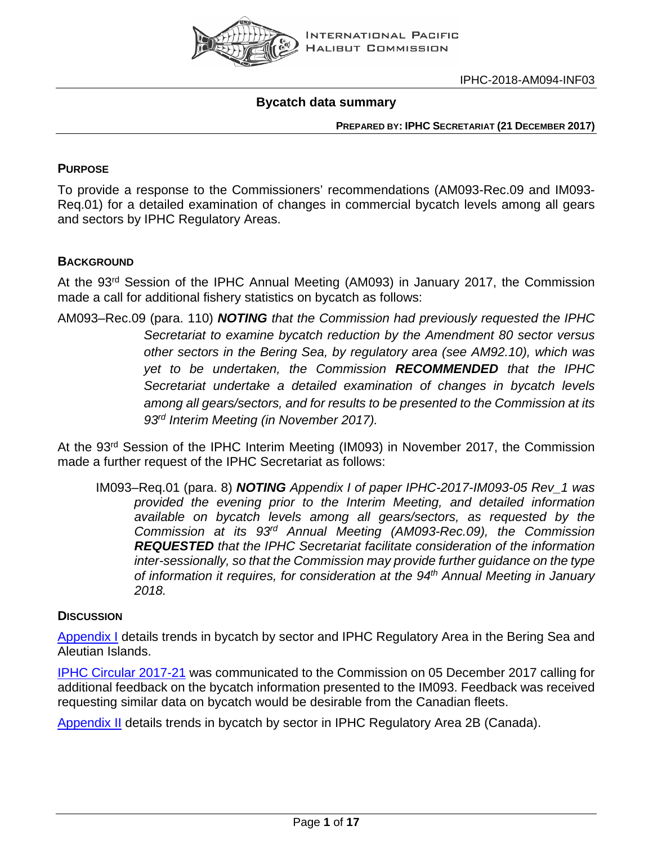

#### **Bycatch data summary**

**PREPARED BY: IPHC SECRETARIAT (21 DECEMBER 2017)**

#### **PURPOSE**

To provide a response to the Commissioners' recommendations (AM093-Rec.09 and IM093- Req.01) for a detailed examination of changes in commercial bycatch levels among all gears and sectors by IPHC Regulatory Areas.

#### **BACKGROUND**

At the 93<sup>rd</sup> Session of the IPHC Annual Meeting (AM093) in January 2017, the Commission made a call for additional fishery statistics on bycatch as follows:

AM093–Rec.09 (para. 110) *NOTING that the Commission had previously requested the IPHC Secretariat to examine bycatch reduction by the Amendment 80 sector versus other sectors in the Bering Sea, by regulatory area (see AM92.10), which was yet to be undertaken, the Commission RECOMMENDED that the IPHC Secretariat undertake a detailed examination of changes in bycatch levels among all gears/sectors, and for results to be presented to the Commission at its 93rd Interim Meeting (in November 2017).*

At the 93rd Session of the IPHC Interim Meeting (IM093) in November 2017, the Commission made a further request of the IPHC Secretariat as follows:

IM093–Req.01 (para. 8) *NOTING Appendix I of paper IPHC-2017-IM093-05 Rev\_1 was provided the evening prior to the Interim Meeting, and detailed information available on bycatch levels among all gears/sectors, as requested by the Commission at its 93rd Annual Meeting (AM093-Rec.09), the Commission REQUESTED that the IPHC Secretariat facilitate consideration of the information inter-sessionally, so that the Commission may provide further guidance on the type of information it requires, for consideration at the 94th Annual Meeting in January 2018.*

#### **DISCUSSION**

[Appendix I](#page-2-0) details trends in bycatch by sector and IPHC Regulatory Area in the Bering Sea and Aleutian Islands.

[IPHC Circular 2017-21](http://iphc.int/library/documents/category/circulars) was communicated to the Commission on 05 December 2017 calling for additional feedback on the bycatch information presented to the IM093. Feedback was received requesting similar data on bycatch would be desirable from the Canadian fleets.

[Appendix II](#page-12-0) details trends in bycatch by sector in IPHC Regulatory Area 2B (Canada).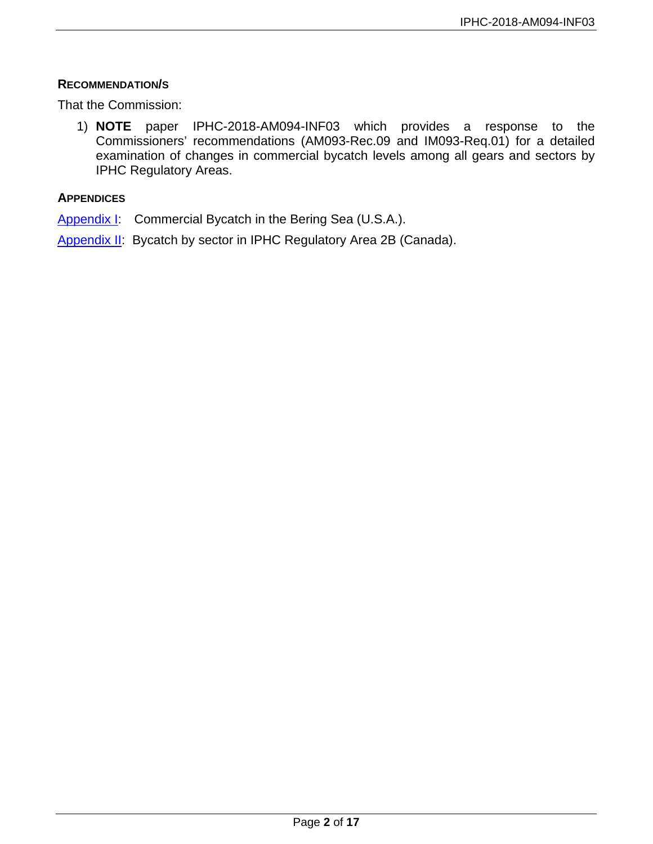#### **RECOMMENDATION/S**

That the Commission:

1) **NOTE** paper IPHC-2018-AM094-INF03 which provides a response to the Commissioners' recommendations (AM093-Rec.09 and IM093-Req.01) for a detailed examination of changes in commercial bycatch levels among all gears and sectors by IPHC Regulatory Areas.

#### **APPENDICES**

[Appendix I:](#page-2-0) Commercial Bycatch in the Bering Sea (U.S.A.).

[Appendix II:](#page-12-0) Bycatch by sector in IPHC Regulatory Area 2B (Canada).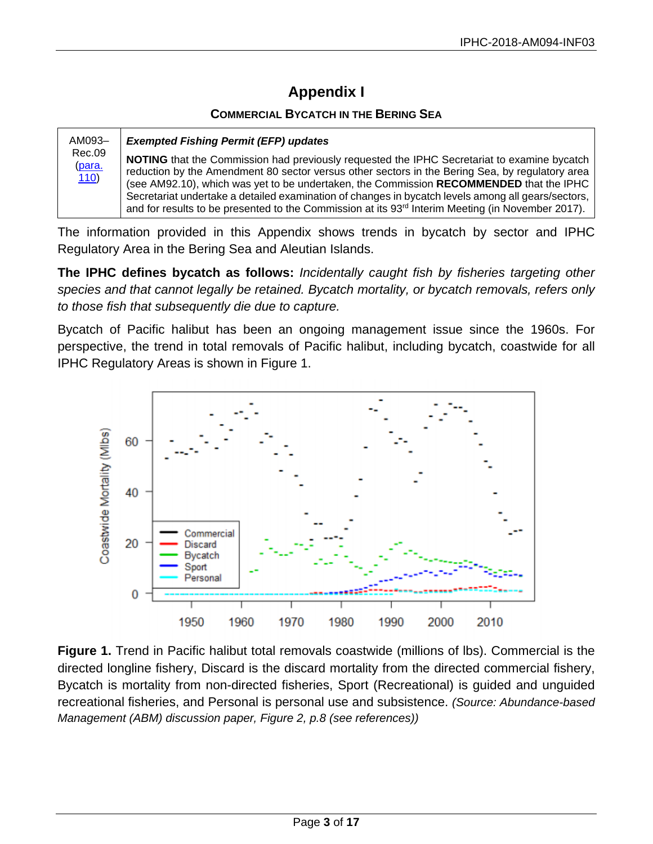# **Appendix I**

#### **COMMERCIAL BYCATCH IN THE BERING SEA**

<span id="page-2-0"></span>

| AM093-                   | <b>Exempted Fishing Permit (EFP) updates</b>                                                                                                                                                                                                                                                                                                                                                                                                                                                                     |
|--------------------------|------------------------------------------------------------------------------------------------------------------------------------------------------------------------------------------------------------------------------------------------------------------------------------------------------------------------------------------------------------------------------------------------------------------------------------------------------------------------------------------------------------------|
| Rec.09<br>(para.<br>110) | NOTING that the Commission had previously requested the IPHC Secretariat to examine bycatch<br>reduction by the Amendment 80 sector versus other sectors in the Bering Sea, by regulatory area<br>(see AM92.10), which was yet to be undertaken, the Commission RECOMMENDED that the IPHC<br>Secretariat undertake a detailed examination of changes in bycatch levels among all gears/sectors,<br>and for results to be presented to the Commission at its 93 <sup>rd</sup> Interim Meeting (in November 2017). |

The information provided in this Appendix shows trends in bycatch by sector and IPHC Regulatory Area in the Bering Sea and Aleutian Islands.

**The IPHC defines bycatch as follows:** *Incidentally caught fish by fisheries targeting other species and that cannot legally be retained. Bycatch mortality, or bycatch removals, refers only to those fish that subsequently die due to capture.*

Bycatch of Pacific halibut has been an ongoing management issue since the 1960s. For perspective, the trend in total removals of Pacific halibut, including bycatch, coastwide for all IPHC Regulatory Areas is shown in Figure 1.



**Figure 1.** Trend in Pacific halibut total removals coastwide (millions of lbs). Commercial is the directed longline fishery, Discard is the discard mortality from the directed commercial fishery, Bycatch is mortality from non-directed fisheries, Sport (Recreational) is guided and unguided recreational fisheries, and Personal is personal use and subsistence. *(Source: Abundance-based Management (ABM) discussion paper, Figure 2, p.8 (see references))*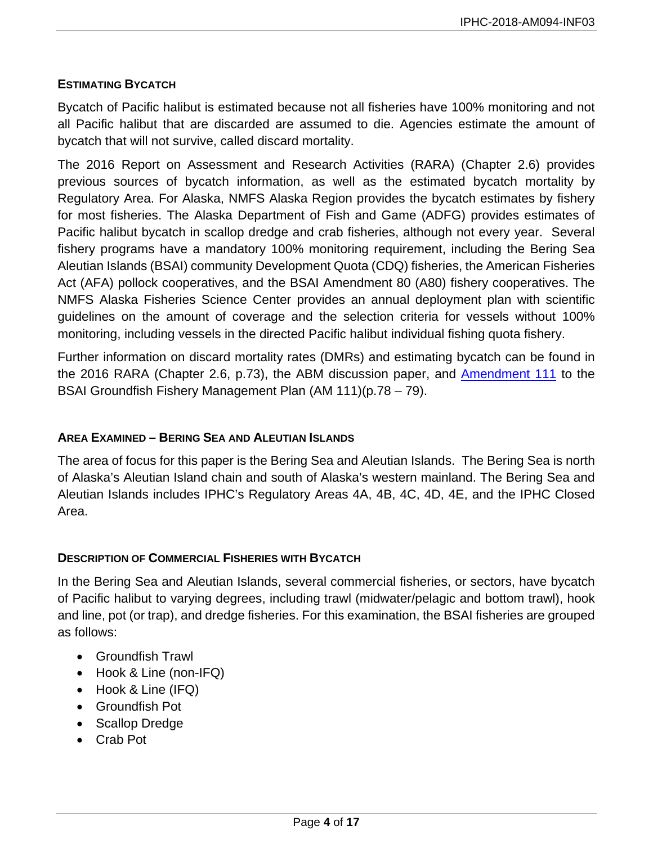#### **ESTIMATING BYCATCH**

Bycatch of Pacific halibut is estimated because not all fisheries have 100% monitoring and not all Pacific halibut that are discarded are assumed to die. Agencies estimate the amount of bycatch that will not survive, called discard mortality.

The 2016 Report on Assessment and Research Activities (RARA) (Chapter 2.6) provides previous sources of bycatch information, as well as the estimated bycatch mortality by Regulatory Area. For Alaska, NMFS Alaska Region provides the bycatch estimates by fishery for most fisheries. The Alaska Department of Fish and Game (ADFG) provides estimates of Pacific halibut bycatch in scallop dredge and crab fisheries, although not every year. Several fishery programs have a mandatory 100% monitoring requirement, including the Bering Sea Aleutian Islands (BSAI) community Development Quota (CDQ) fisheries, the American Fisheries Act (AFA) pollock cooperatives, and the BSAI Amendment 80 (A80) fishery cooperatives. The NMFS Alaska Fisheries Science Center provides an annual deployment plan with scientific guidelines on the amount of coverage and the selection criteria for vessels without 100% monitoring, including vessels in the directed Pacific halibut individual fishing quota fishery.

Further information on discard mortality rates (DMRs) and estimating bycatch can be found in the 2016 RARA (Chapter 2.6, p.73), the ABM discussion paper, and [Amendment](https://alaskafisheries.noaa.gov/sites/default/files/analyses/finalbsai111earirirfa0116.pdf) 111 to the BSAI Groundfish Fishery Management Plan (AM 111)(p.78 – 79).

#### **AREA EXAMINED – BERING SEA AND ALEUTIAN ISLANDS**

The area of focus for this paper is the Bering Sea and Aleutian Islands. The Bering Sea is north of Alaska's Aleutian Island chain and south of Alaska's western mainland. The Bering Sea and Aleutian Islands includes IPHC's Regulatory Areas 4A, 4B, 4C, 4D, 4E, and the IPHC Closed Area.

#### **DESCRIPTION OF COMMERCIAL FISHERIES WITH BYCATCH**

In the Bering Sea and Aleutian Islands, several commercial fisheries, or sectors, have bycatch of Pacific halibut to varying degrees, including trawl (midwater/pelagic and bottom trawl), hook and line, pot (or trap), and dredge fisheries. For this examination, the BSAI fisheries are grouped as follows:

- Groundfish Trawl
- Hook & Line (non-IFQ)
- Hook & Line (IFQ)
- Groundfish Pot
- Scallop Dredge
- Crab Pot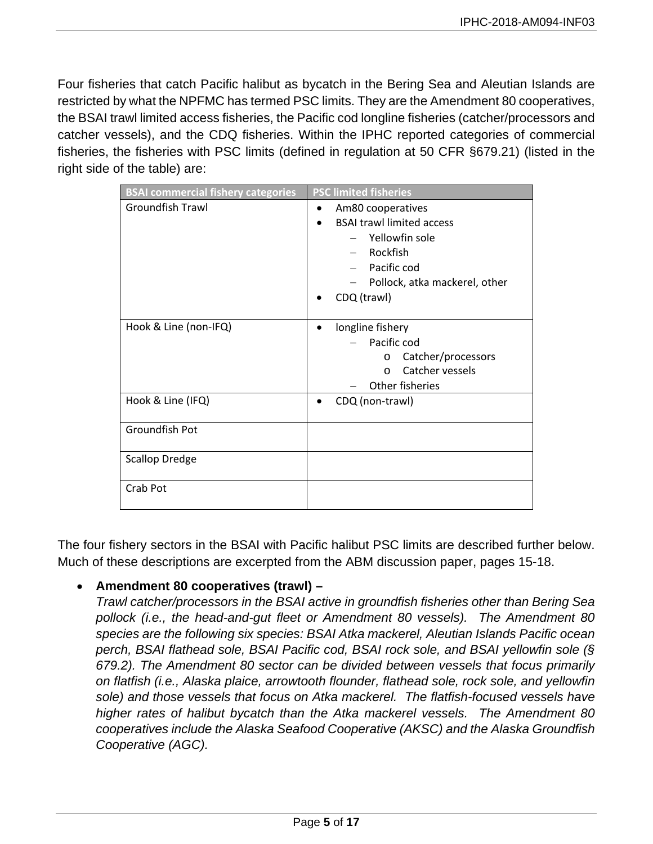Four fisheries that catch Pacific halibut as bycatch in the Bering Sea and Aleutian Islands are restricted by what the NPFMC has termed PSC limits. They are the Amendment 80 cooperatives, the BSAI trawl limited access fisheries, the Pacific cod longline fisheries (catcher/processors and catcher vessels), and the CDQ fisheries. Within the IPHC reported categories of commercial fisheries, the fisheries with PSC limits (defined in regulation at 50 CFR §679.21) (listed in the right side of the table) are:

| <b>BSAI commercial fishery categories</b> | <b>PSC limited fisheries</b>     |
|-------------------------------------------|----------------------------------|
| Groundfish Trawl                          | Am80 cooperatives                |
|                                           | <b>BSAI trawl limited access</b> |
|                                           | Yellowfin sole                   |
|                                           | Rockfish                         |
|                                           | - Pacific cod                    |
|                                           | Pollock, atka mackerel, other    |
|                                           | CDQ (trawl)                      |
|                                           |                                  |
| Hook & Line (non-IFQ)                     | longline fishery                 |
|                                           | Pacific cod                      |
|                                           | Catcher/processors<br>O          |
|                                           | Catcher vessels<br>$\Omega$      |
|                                           | Other fisheries                  |
| Hook & Line (IFQ)                         | CDQ (non-trawl)                  |
|                                           |                                  |
| Groundfish Pot                            |                                  |
|                                           |                                  |
| <b>Scallop Dredge</b>                     |                                  |
|                                           |                                  |
| Crab Pot                                  |                                  |
|                                           |                                  |

The four fishery sectors in the BSAI with Pacific halibut PSC limits are described further below. Much of these descriptions are excerpted from the ABM discussion paper, pages 15-18.

# • **Amendment 80 cooperatives (trawl) –**

*Trawl catcher/processors in the BSAI active in groundfish fisheries other than Bering Sea pollock (i.e., the head-and-gut fleet or Amendment 80 vessels). The Amendment 80 species are the following six species: BSAI Atka mackerel, Aleutian Islands Pacific ocean perch, BSAI flathead sole, BSAI Pacific cod, BSAI rock sole, and BSAI yellowfin sole (§ 679.2). The Amendment 80 sector can be divided between vessels that focus primarily on flatfish (i.e., Alaska plaice, arrowtooth flounder, flathead sole, rock sole, and yellowfin sole) and those vessels that focus on Atka mackerel. The flatfish-focused vessels have higher rates of halibut bycatch than the Atka mackerel vessels. The Amendment 80 cooperatives include the Alaska Seafood Cooperative (AKSC) and the Alaska Groundfish Cooperative (AGC).*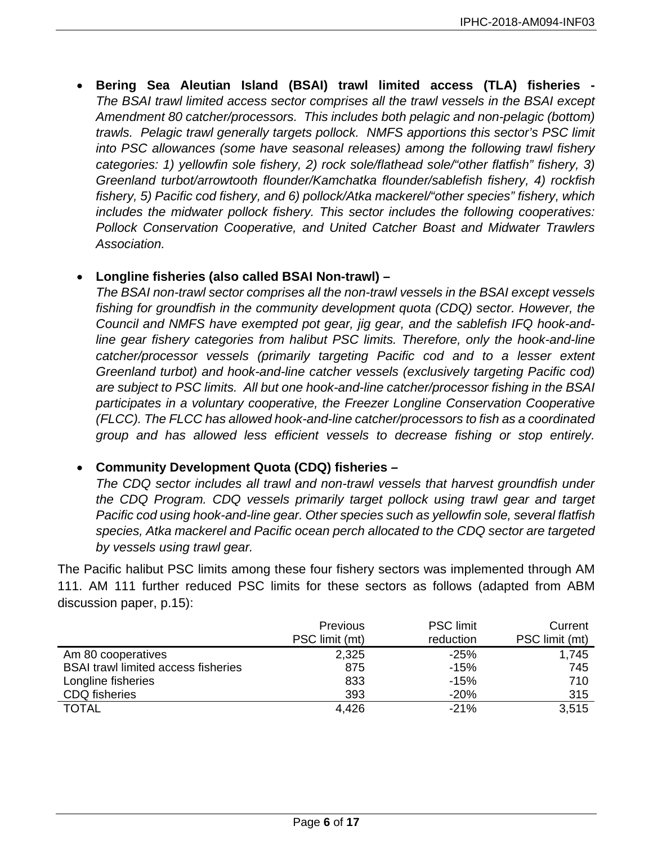• **Bering Sea Aleutian Island (BSAI) trawl limited access (TLA) fisheries -** *The BSAI trawl limited access sector comprises all the trawl vessels in the BSAI except Amendment 80 catcher/processors. This includes both pelagic and non-pelagic (bottom) trawls. Pelagic trawl generally targets pollock. NMFS apportions this sector's PSC limit into PSC allowances (some have seasonal releases) among the following trawl fishery categories: 1) yellowfin sole fishery, 2) rock sole/flathead sole/"other flatfish" fishery, 3) Greenland turbot/arrowtooth flounder/Kamchatka flounder/sablefish fishery, 4) rockfish fishery, 5) Pacific cod fishery, and 6) pollock/Atka mackerel/"other species" fishery, which includes the midwater pollock fishery. This sector includes the following cooperatives: Pollock Conservation Cooperative, and United Catcher Boast and Midwater Trawlers Association.* 

#### • **Longline fisheries (also called BSAI Non-trawl) –**

*The BSAI non-trawl sector comprises all the non-trawl vessels in the BSAI except vessels fishing for groundfish in the community development quota (CDQ) sector. However, the Council and NMFS have exempted pot gear, jig gear, and the sablefish IFQ hook-andline gear fishery categories from halibut PSC limits. Therefore, only the hook-and-line catcher/processor vessels (primarily targeting Pacific cod and to a lesser extent Greenland turbot) and hook-and-line catcher vessels (exclusively targeting Pacific cod) are subject to PSC limits. All but one hook-and-line catcher/processor fishing in the BSAI participates in a voluntary cooperative, the Freezer Longline Conservation Cooperative (FLCC). The FLCC has allowed hook-and-line catcher/processors to fish as a coordinated group and has allowed less efficient vessels to decrease fishing or stop entirely.* 

#### • **Community Development Quota (CDQ) fisheries –**

*The CDQ sector includes all trawl and non-trawl vessels that harvest groundfish under the CDQ Program. CDQ vessels primarily target pollock using trawl gear and target Pacific cod using hook-and-line gear. Other species such as yellowfin sole, several flatfish species, Atka mackerel and Pacific ocean perch allocated to the CDQ sector are targeted by vessels using trawl gear.*

The Pacific halibut PSC limits among these four fishery sectors was implemented through AM 111. AM 111 further reduced PSC limits for these sectors as follows (adapted from ABM discussion paper, p.15):

|                                            | <b>Previous</b> | <b>PSC</b> limit | Current        |
|--------------------------------------------|-----------------|------------------|----------------|
|                                            | PSC limit (mt)  | reduction        | PSC limit (mt) |
| Am 80 cooperatives                         | 2,325           | $-25%$           | 1,745          |
| <b>BSAI trawl limited access fisheries</b> | 875             | $-15%$           | 745            |
| Longline fisheries                         | 833             | $-15%$           | 710            |
| <b>CDQ</b> fisheries                       | 393             | $-20%$           | 315            |
| <b>TOTAL</b>                               | 4,426           | $-21%$           | 3,515          |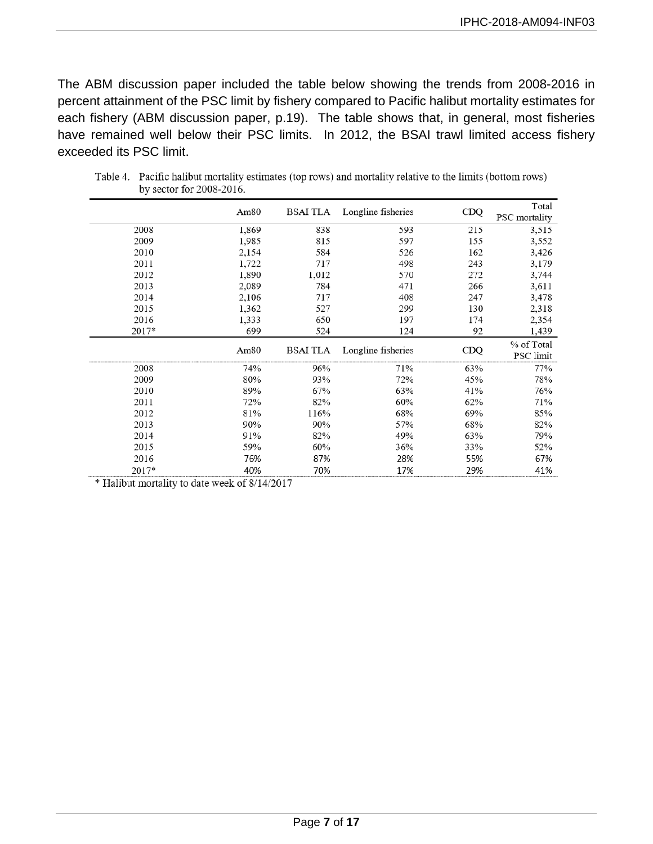The ABM discussion paper included the table below showing the trends from 2008-2016 in percent attainment of the PSC limit by fishery compared to Pacific halibut mortality estimates for each fishery (ABM discussion paper, p.19). The table shows that, in general, most fisheries have remained well below their PSC limits. In 2012, the BSAI trawl limited access fishery exceeded its PSC limit.

|                              | Am <sub>80</sub> | BSAI TLA        | Longline fisheries | CDQ | Total                |
|------------------------------|------------------|-----------------|--------------------|-----|----------------------|
|                              |                  |                 |                    |     | <b>PSC</b> mortality |
| 2008                         | 1,869            | 838             | 593                | 215 | 3,515                |
| 2009                         | 1,985            | 815             | 597                | 155 | 3,552                |
| 2010                         | 2,154            | 584             | 526                | 162 | 3,426                |
| 2011                         | 1,722            | 717             | 498                | 243 | 3,179                |
| 2012                         | 1,890            | 1,012           | 570                | 272 | 3,744                |
| 2013                         | 2,089            | 784             | 471                | 266 | 3,611                |
| 2014                         | 2,106            | 717             | 408                | 247 | 3,478                |
| 2015                         | 1,362            | 527             | 299                | 130 | 2,318                |
| 2016                         | 1,333            | 650             | 197                | 174 | 2,354                |
| 2017*                        | 699              | 524             | 124                | 92  | 1,439                |
|                              |                  |                 |                    |     | % of Total           |
| ---------------------------- | Am80             | <b>BSAI TLA</b> | Longline fisheries | CDO | PSC limit            |
| 2008                         | 74%              | 96%             | 71%                | 63% | 77%                  |
| 2009                         | 80%              | 93%             | 72%                | 45% | 78%                  |
| 2010                         | 89%              | 67%             | 63%                | 41% | 76%                  |
| 2011                         | 72%              | 82%             | 60%                | 62% | 71%                  |
| 2012                         | 81%              | 116%            | 68%                | 69% | 85%                  |
| 2013                         | 90%              | 90%             | 57%                | 68% | 82%                  |
| 2014                         | 91%              | 82%             | 49%                | 63% | 79%                  |
| 2015                         | 59%              | 60%             | 36%                | 33% | 52%                  |
| 2016                         | 76%              | 87%             | 28%                | 55% | 67%                  |
| 2017*                        | 40%              | 70%             | 17%                | 29% | 41%                  |

Table 4. Pacific halibut mortality estimates (top rows) and mortality relative to the limits (bottom rows) by sector for 2008-2016.

\* Halibut mortality to date week of 8/14/2017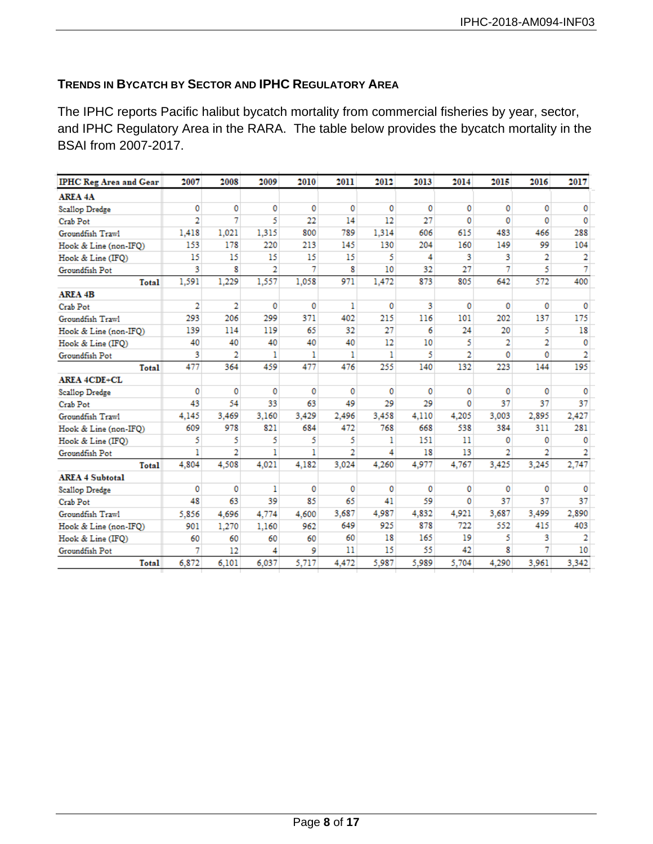#### **TRENDS IN BYCATCH BY SECTOR AND IPHC REGULATORY AREA**

The IPHC reports Pacific halibut bycatch mortality from commercial fisheries by year, sector, and IPHC Regulatory Area in the RARA. The table below provides the bycatch mortality in the BSAI from 2007-2017.

| <b>IPHC Reg Area and Gear</b> | 2007           | 2008  | 2009           | 2010     | 2011  | 2012     | 2013     | 2014           | 2015  | 2016           | 2017         |
|-------------------------------|----------------|-------|----------------|----------|-------|----------|----------|----------------|-------|----------------|--------------|
| <b>AREA 4A</b>                |                |       |                |          |       |          |          |                |       |                |              |
| <b>Scallop Dredge</b>         | 0              | 0     | 0              | $\Omega$ | 0     | 0        | $\Omega$ | 0              | 0     | 0              | 0            |
| Crab Pot                      | $\overline{2}$ | 7     | 5              | 22       | 14    | 12       | 27       | 0              | 0     | 0              | $\Omega$     |
| Groundfish Trawl              | 1.418          | 1.021 | 1.315          | 800      | 789   | 1.314    | 606      | 615            | 483   | 466            | 288          |
| Hook & Line (non-IFQ)         | 153            | 178   | 220            | 213      | 145   | 130      | 204      | 160            | 149   | 99             | 104          |
| Hook & Line (IFO)             | 15             | 15    | 15             | 15       | 15    | 5        | 4        | 3              | 3     | 2              | 2            |
| Groundfish Pot                | 3              | 8     | $\overline{2}$ | 7        | 8     | 10       | 32       | 27             | 7     | 5              | 7            |
| Total                         | 1,591          | 1.229 | 1.557          | 1.058    | 971   | 1.472    | 873      | 805            | 642   | 572            | 400          |
| <b>AREA 4B</b>                |                |       |                |          |       |          |          |                |       |                |              |
| Crab Pot                      | 2              | 2     | 0              | $\Omega$ | 1     | 0        | 3        | 0              | 0     | 0              | 0            |
| Groundfish Trawl              | 293            | 206   | 299            | 371      | 402   | 215      | 116      | 101            | 202   | 137            | 175          |
| Hook & Line (non-IFO)         | 139            | 114   | 119            | 65       | 32    | 27       | 6        | 24             | 20    | 5              | 18           |
| Hook & Line (IFO)             | 40             | 40    | 40             | 40       | 40    | 12       | 10       | 5              | 2     | $\overline{2}$ | $\mathbf{0}$ |
| Groundfish Pot                | 3              | 2     | 1              | ı        | 1     | 1        | 5        | $\overline{2}$ | 0     | 0              | 2            |
| Total                         | 477            | 364   | 459            | 477      | 476   | 255      | 140      | 132            | 223   | 144            | 195          |
| <b>AREA 4CDE+CL</b>           |                |       |                |          |       |          |          |                |       |                |              |
| <b>Scallop Dredge</b>         | 0              | 0     | 0              | $\Omega$ | 0     | $\bf{0}$ | o        | 0              | 0     | 0              | 0            |
| Crab Pot                      | 43             | 54    | 33             | 63       | 49    | 29       | 29       | 0              | 37    | 37             | 37           |
| Groundfish Trawl              | 4.145          | 3.469 | 3.160          | 3.429    | 2.496 | 3.458    | 4.110    | 4.205          | 3.003 | 2.895          | 2,427        |
| Hook & Line (non-IFQ)         | 609            | 978   | 821            | 684      | 472   | 768      | 668      | 538            | 384   | 311            | 281          |
| Hook & Line (IFO)             | 5              | 5     | 5              | 5        | 5     | 1        | 151      | 11             | 0     | 0              | 0            |
| Groundfish Pot                | ı              | 2     | ı              | ı        | 2     | 4        | 18       | 13             | 2     | 2              | 2            |
| Total                         | 4.804          | 4.508 | 4.021          | 4.182    | 3.024 | 4.260    | 4,977    | 4,767          | 3.425 | 3,245          | 2,747        |
| <b>AREA 4 Subtotal</b>        |                |       |                |          |       |          |          |                |       |                |              |
| <b>Scallop Dredge</b>         | 0              | 0     | ı              | 0        | 0     | 0        | 0        | 0              | 0     | 0              | 0            |
| Crab Pot                      | 48             | 63    | 39             | 85       | 65    | 41       | 59       | 0              | 37    | 37             | 37           |
| Groundfish Trawl              | 5.856          | 4,696 | 4.774          | 4.600    | 3,687 | 4,987    | 4,832    | 4.921          | 3,687 | 3,499          | 2,890        |
| Hook & Line (non-IFO)         | 901            | 1.270 | 1.160          | 962      | 649   | 925      | 878      | 722            | 552   | 415            | 403          |
| Hook & Line (IFO)             | 60             | 60    | 60             | 60       | 60    | 18       | 165      | 19             | 5     | 3              | 2            |
| Groundfish Pot                | 7              | 12    | 4              | 9        | 11    | 15       | 55       | 42             | R     | 7              | 10           |
| Total                         | 6.872          | 6,101 | 6,037          | 5.717    | 4,472 | 5.987    | 5.989    | 5,704          | 4.290 | 3,961          | 3,342        |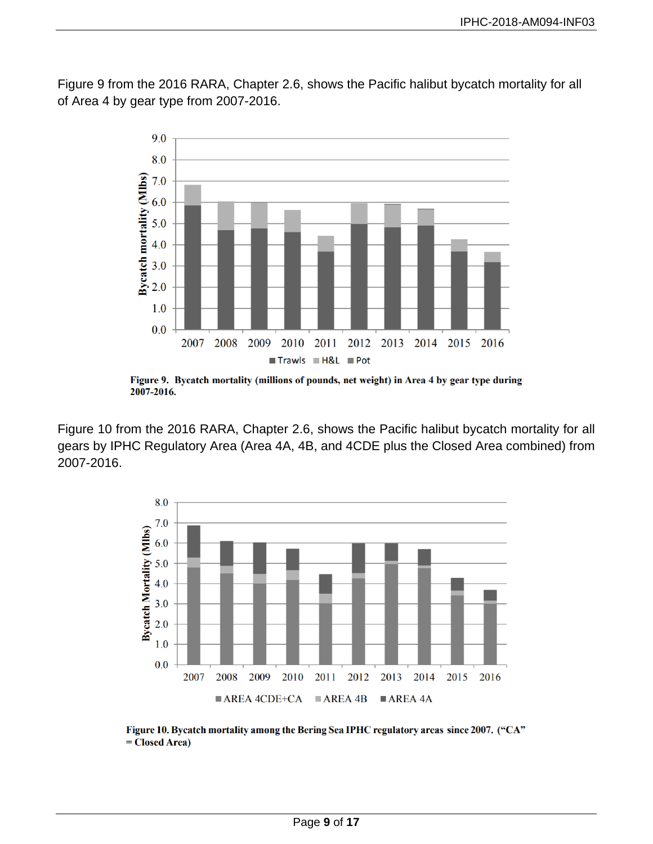Figure 9 from the 2016 RARA, Chapter 2.6, shows the Pacific halibut bycatch mortality for all of Area 4 by gear type from 2007-2016.



Figure 9. Bycatch mortality (millions of pounds, net weight) in Area 4 by gear type during 2007-2016.

Figure 10 from the 2016 RARA, Chapter 2.6, shows the Pacific halibut bycatch mortality for all gears by IPHC Regulatory Area (Area 4A, 4B, and 4CDE plus the Closed Area combined) from 2007-2016.



Figure 10. Bycatch mortality among the Bering Sea IPHC regulatory areas since 2007. ("CA"  $= Closed Area)$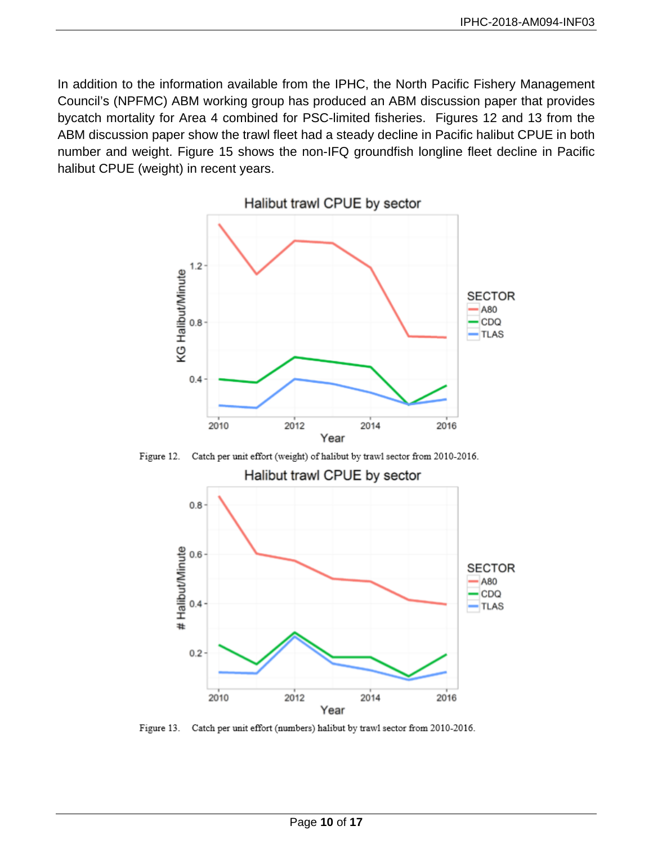In addition to the information available from the IPHC, the North Pacific Fishery Management Council's (NPFMC) ABM working group has produced an ABM discussion paper that provides bycatch mortality for Area 4 combined for PSC-limited fisheries. Figures 12 and 13 from the ABM discussion paper show the trawl fleet had a steady decline in Pacific halibut CPUE in both number and weight. Figure 15 shows the non-IFQ groundfish longline fleet decline in Pacific halibut CPUE (weight) in recent years.



Catch per unit effort (weight) of halibut by trawl sector from 2010-2016. Figure 12.



Figure 13. Catch per unit effort (numbers) halibut by trawl sector from 2010-2016.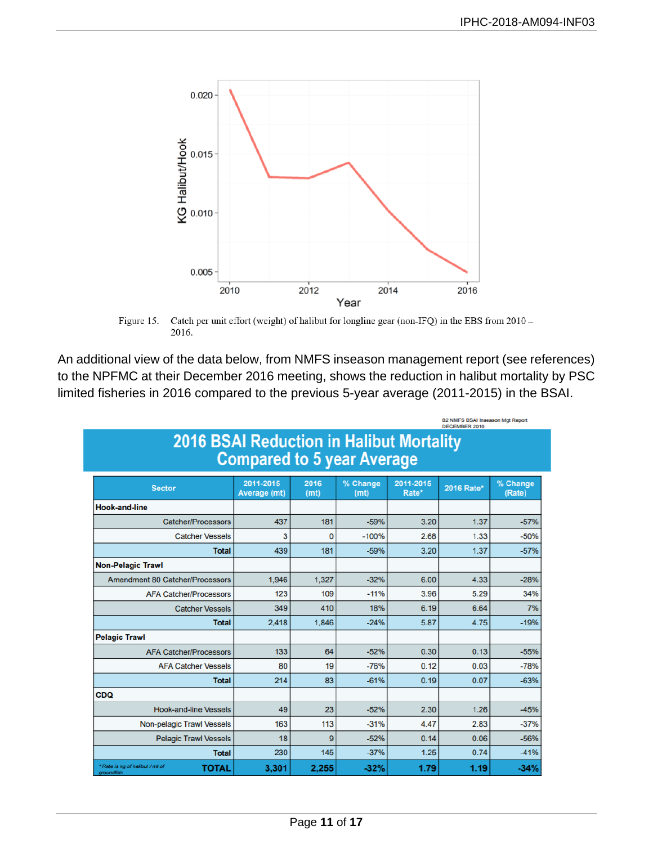

Catch per unit effort (weight) of halibut for longline gear (non-IFQ) in the EBS from 2010 -Figure 15. 2016.

An additional view of the data below, from NMFS inseason management report (see references) to the NPFMC at their December 2016 meeting, shows the reduction in halibut mortality by PSC limited fisheries in 2016 compared to the previous 5-year average (2011-2015) in the BSAI.

| BZ NMFS BSAI Inseason Mgt Report<br>DECEMBER 2016                                    |                           |              |                  |                    |            |                    |  |  |  |
|--------------------------------------------------------------------------------------|---------------------------|--------------|------------------|--------------------|------------|--------------------|--|--|--|
| <b>2016 BSAI Reduction in Halibut Mortality</b><br><b>Compared to 5 year Average</b> |                           |              |                  |                    |            |                    |  |  |  |
| <b>Sector</b>                                                                        | 2011-2015<br>Average (mt) | 2016<br>(mt) | % Change<br>(mt) | 2011-2015<br>Rate* | 2016 Rate* | % Change<br>(Rate) |  |  |  |
| <b>Hook-and-line</b>                                                                 |                           |              |                  |                    |            |                    |  |  |  |
| <b>Catcher/Processors</b>                                                            | 437                       | 181          | $-59%$           | 3.20               | 1.37       | $-57%$             |  |  |  |
| <b>Catcher Vessels</b>                                                               | 3                         | $\Omega$     | $-100%$          | 2.68               | 1.33       | $-50%$             |  |  |  |
| <b>Total</b>                                                                         | 439                       | 181          | $-59%$           | 3.20               | 1.37       | $-57%$             |  |  |  |
| <b>Non-Pelagic Trawl</b>                                                             |                           |              |                  |                    |            |                    |  |  |  |
| <b>Amendment 80 Catcher/Processors</b>                                               | 1.946                     | 1.327        | $-32%$           | 6.00               | 4.33       | $-28%$             |  |  |  |
| <b>AFA Catcher/Processors</b>                                                        | 123                       | 109          | $-11%$           | 3.96               | 5.29       | 34%                |  |  |  |
| <b>Catcher Vessels</b>                                                               | 349                       | 410          | 18%              | 6.19               | 6.64       | 7%                 |  |  |  |
| <b>Total</b>                                                                         | 2.418                     | 1,846        | $-24%$           | 5.87               | 4.75       | $-19%$             |  |  |  |
| <b>Pelagic Trawl</b>                                                                 |                           |              |                  |                    |            |                    |  |  |  |
| <b>AFA Catcher/Processors</b>                                                        | 133                       | 64           | $-52%$           | 0.30               | 0.13       | $-55%$             |  |  |  |
| <b>AFA Catcher Vessels</b>                                                           | 80                        | 19           | $-76%$           | 0.12               | 0.03       | $-78%$             |  |  |  |
| <b>Total</b>                                                                         | 214                       | 83           | $-61%$           | 0.19               | 0.07       | $-63%$             |  |  |  |
| CDQ                                                                                  |                           |              |                  |                    |            |                    |  |  |  |
| <b>Hook-and-line Vessels</b>                                                         | 49                        | 23           | $-52%$           | 2.30               | 1.26       | $-45%$             |  |  |  |
| Non-pelagic Trawl Vessels                                                            | 163                       | 113          | $-31%$           | 4.47               | 2.83       | $-37%$             |  |  |  |
| <b>Pelagic Trawl Vessels</b>                                                         | 18                        | 9            | $-52%$           | 0.14               | 0.06       | $-56%$             |  |  |  |
| <b>Total</b>                                                                         | 230                       | 145          | $-37%$           | 1.25               | 0.74       | $-41%$             |  |  |  |
| * Rate is kg of halibut / mt of<br><b>TOTAL</b><br>groundfish                        | 3,301                     | 2,255        | $-32%$           | 1.79               | 1.19       | $-34%$             |  |  |  |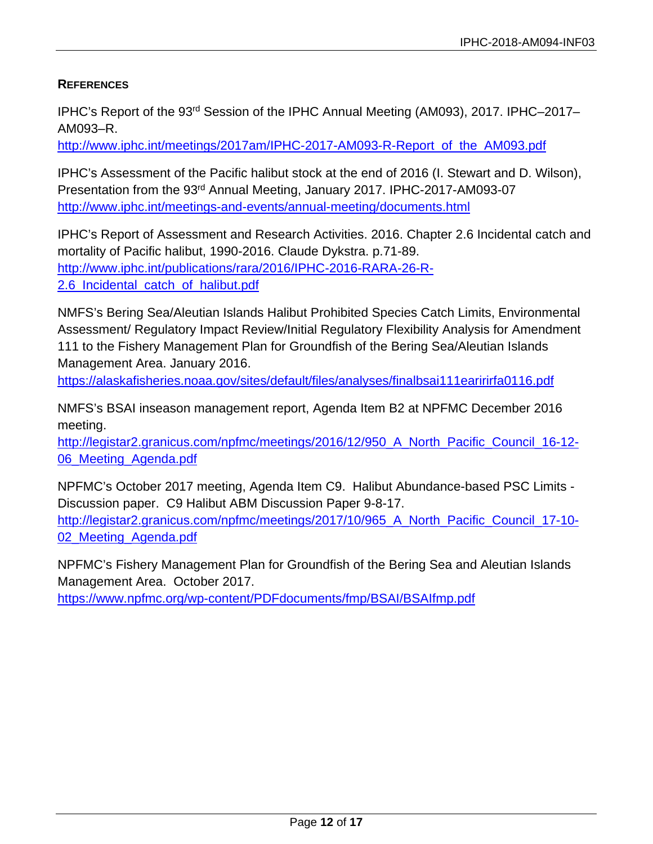#### **REFERENCES**

IPHC's Report of the 93rd Session of the IPHC Annual Meeting (AM093), 2017. IPHC–2017– AM093–R.

[http://www.iphc.int/meetings/2017am/IPHC-2017-AM093-R-Report\\_of\\_the\\_AM093.pdf](http://www.iphc.int/meetings/2017am/IPHC-2017-AM093-R-Report_of_the_AM093.pdf)

IPHC's Assessment of the Pacific halibut stock at the end of 2016 (I. Stewart and D. Wilson), Presentation from the 93rd Annual Meeting, January 2017. IPHC-2017-AM093-07 <http://www.iphc.int/meetings-and-events/annual-meeting/documents.html>

IPHC's Report of Assessment and Research Activities. 2016. Chapter 2.6 Incidental catch and mortality of Pacific halibut, 1990-2016. Claude Dykstra. p.71-89. [http://www.iphc.int/publications/rara/2016/IPHC-2016-RARA-26-R-](http://www.iphc.int/publications/rara/2016/IPHC-2016-RARA-26-R-2.6_Incidental_catch_of_halibut.pdf)[2.6\\_Incidental\\_catch\\_of\\_halibut.pdf](http://www.iphc.int/publications/rara/2016/IPHC-2016-RARA-26-R-2.6_Incidental_catch_of_halibut.pdf)

NMFS's Bering Sea/Aleutian Islands Halibut Prohibited Species Catch Limits, Environmental Assessment/ Regulatory Impact Review/Initial Regulatory Flexibility Analysis for Amendment 111 to the Fishery Management Plan for Groundfish of the Bering Sea/Aleutian Islands Management Area. January 2016.

<https://alaskafisheries.noaa.gov/sites/default/files/analyses/finalbsai111earirirfa0116.pdf>

NMFS's BSAI inseason management report, Agenda Item B2 at NPFMC December 2016 meeting.

[http://legistar2.granicus.com/npfmc/meetings/2016/12/950\\_A\\_North\\_Pacific\\_Council\\_16-12-](http://legistar2.granicus.com/npfmc/meetings/2016/12/950_A_North_Pacific_Council_16-12-06_Meeting_Agenda.pdf) 06 Meeting Agenda.pdf

NPFMC's October 2017 meeting, Agenda Item C9. Halibut Abundance-based PSC Limits - Discussion paper. C9 Halibut ABM Discussion Paper 9-8-17. [http://legistar2.granicus.com/npfmc/meetings/2017/10/965\\_A\\_North\\_Pacific\\_Council\\_17-10-](http://legistar2.granicus.com/npfmc/meetings/2017/10/965_A_North_Pacific_Council_17-10-02_Meeting_Agenda.pdf)

[02\\_Meeting\\_Agenda.pdf](http://legistar2.granicus.com/npfmc/meetings/2017/10/965_A_North_Pacific_Council_17-10-02_Meeting_Agenda.pdf)

NPFMC's Fishery Management Plan for Groundfish of the Bering Sea and Aleutian Islands Management Area. October 2017.

<https://www.npfmc.org/wp-content/PDFdocuments/fmp/BSAI/BSAIfmp.pdf>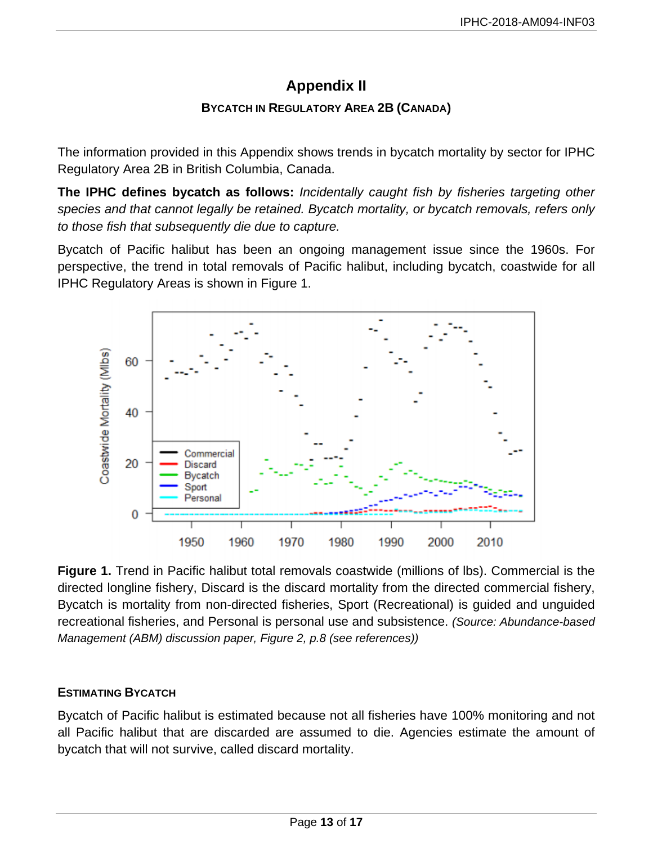# **Appendix II**

### **BYCATCH IN REGULATORY AREA 2B (CANADA)**

<span id="page-12-0"></span>The information provided in this Appendix shows trends in bycatch mortality by sector for IPHC Regulatory Area 2B in British Columbia, Canada.

**The IPHC defines bycatch as follows:** *Incidentally caught fish by fisheries targeting other species and that cannot legally be retained. Bycatch mortality, or bycatch removals, refers only to those fish that subsequently die due to capture.*

Bycatch of Pacific halibut has been an ongoing management issue since the 1960s. For perspective, the trend in total removals of Pacific halibut, including bycatch, coastwide for all IPHC Regulatory Areas is shown in Figure 1.



**Figure 1.** Trend in Pacific halibut total removals coastwide (millions of lbs). Commercial is the directed longline fishery, Discard is the discard mortality from the directed commercial fishery, Bycatch is mortality from non-directed fisheries, Sport (Recreational) is guided and unguided recreational fisheries, and Personal is personal use and subsistence. *(Source: Abundance-based Management (ABM) discussion paper, Figure 2, p.8 (see references))*

# **ESTIMATING BYCATCH**

Bycatch of Pacific halibut is estimated because not all fisheries have 100% monitoring and not all Pacific halibut that are discarded are assumed to die. Agencies estimate the amount of bycatch that will not survive, called discard mortality.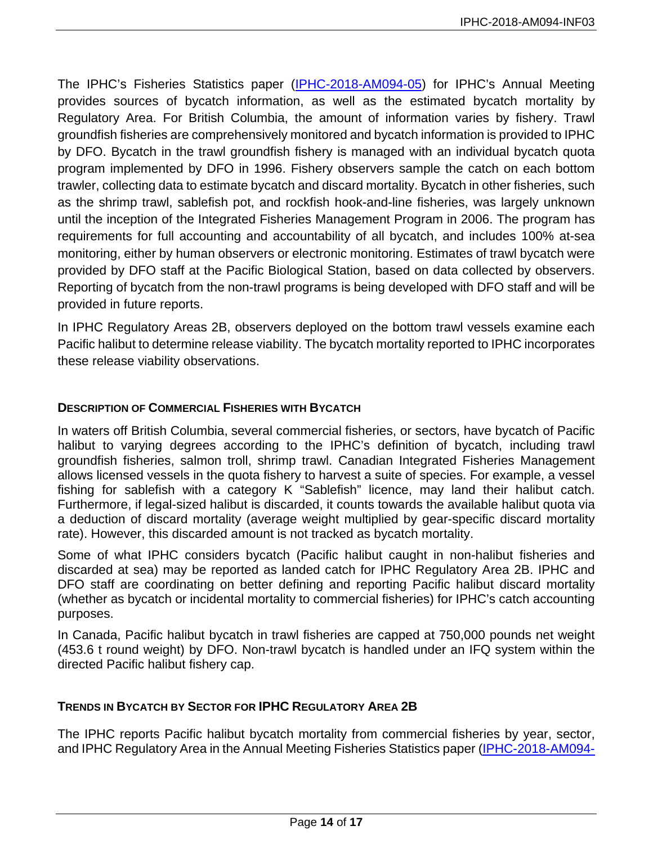The IPHC's Fisheries Statistics paper [\(IPHC-2018-AM094-05\)](http://iphc.int/venues/details/94th-session-of-the-iphc-annual-meeting-am094) for IPHC's Annual Meeting provides sources of bycatch information, as well as the estimated bycatch mortality by Regulatory Area. For British Columbia, the amount of information varies by fishery. Trawl groundfish fisheries are comprehensively monitored and bycatch information is provided to IPHC by DFO. Bycatch in the trawl groundfish fishery is managed with an individual bycatch quota program implemented by DFO in 1996. Fishery observers sample the catch on each bottom trawler, collecting data to estimate bycatch and discard mortality. Bycatch in other fisheries, such as the shrimp trawl, sablefish pot, and rockfish hook-and-line fisheries, was largely unknown until the inception of the Integrated Fisheries Management Program in 2006. The program has requirements for full accounting and accountability of all bycatch, and includes 100% at-sea monitoring, either by human observers or electronic monitoring. Estimates of trawl bycatch were provided by DFO staff at the Pacific Biological Station, based on data collected by observers. Reporting of bycatch from the non-trawl programs is being developed with DFO staff and will be provided in future reports.

In IPHC Regulatory Areas 2B, observers deployed on the bottom trawl vessels examine each Pacific halibut to determine release viability. The bycatch mortality reported to IPHC incorporates these release viability observations.

### **DESCRIPTION OF COMMERCIAL FISHERIES WITH BYCATCH**

In waters off British Columbia, several commercial fisheries, or sectors, have bycatch of Pacific halibut to varying degrees according to the IPHC's definition of bycatch, including trawl groundfish fisheries, salmon troll, shrimp trawl. Canadian Integrated Fisheries Management allows licensed vessels in the quota fishery to harvest a suite of species. For example, a vessel fishing for sablefish with a category K "Sablefish" licence, may land their halibut catch. Furthermore, if legal-sized halibut is discarded, it counts towards the available halibut quota via a deduction of discard mortality (average weight multiplied by gear-specific discard mortality rate). However, this discarded amount is not tracked as bycatch mortality.

Some of what IPHC considers bycatch (Pacific halibut caught in non-halibut fisheries and discarded at sea) may be reported as landed catch for IPHC Regulatory Area 2B. IPHC and DFO staff are coordinating on better defining and reporting Pacific halibut discard mortality (whether as bycatch or incidental mortality to commercial fisheries) for IPHC's catch accounting purposes.

In Canada, Pacific halibut bycatch in trawl fisheries are capped at 750,000 pounds net weight (453.6 t round weight) by DFO. Non-trawl bycatch is handled under an IFQ system within the directed Pacific halibut fishery cap.

#### **TRENDS IN BYCATCH BY SECTOR FOR IPHC REGULATORY AREA 2B**

The IPHC reports Pacific halibut bycatch mortality from commercial fisheries by year, sector, and IPHC Regulatory Area in the Annual Meeting Fisheries Statistics paper [\(IPHC-2018-AM094-](http://iphc.int/venues/details/94th-session-of-the-iphc-annual-meeting-am094)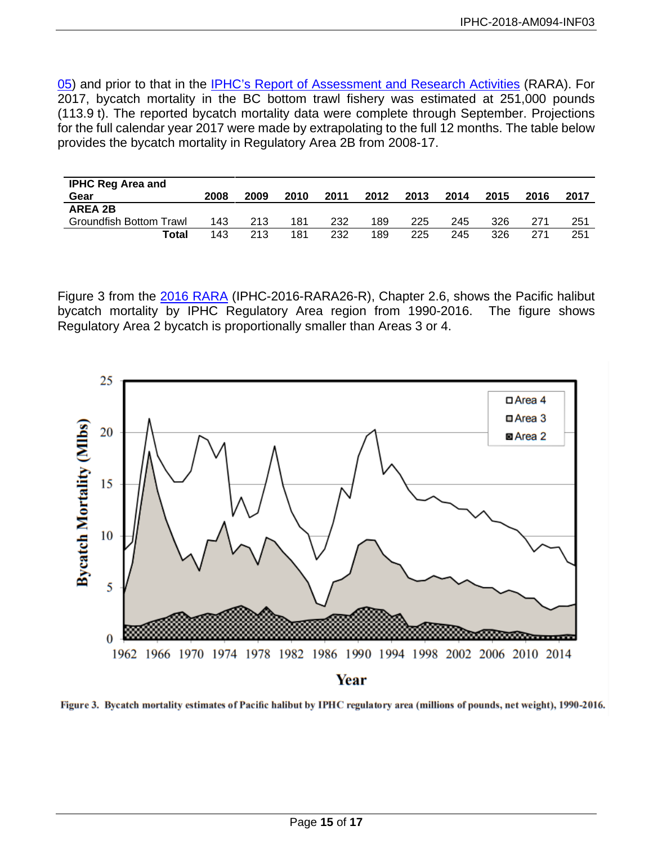[05\)](http://iphc.int/venues/details/94th-session-of-the-iphc-annual-meeting-am094) and prior to that in the [IPHC's Report of Assessment and Research Activities](http://iphc.int/library/documents/category/report-of-research-assessment-and-research-activities-rara) (RARA). For 2017, bycatch mortality in the BC bottom trawl fishery was estimated at 251,000 pounds (113.9 t). The reported bycatch mortality data were complete through September. Projections for the full calendar year 2017 were made by extrapolating to the full 12 months. The table below provides the bycatch mortality in Regulatory Area 2B from 2008-17.

| <b>IPHC Reg Area and</b> |      |      |      |      |      |      |      |      |      |      |
|--------------------------|------|------|------|------|------|------|------|------|------|------|
| Gear                     | 2008 | 2009 | 2010 | 2011 | 2012 | 2013 | 2014 | 2015 | 2016 | 2017 |
| <b>AREA 2B</b>           |      |      |      |      |      |      |      |      |      |      |
| Groundfish Bottom Trawl  | 143  | 213  | 181  | 232  | 189  | 225  | 245  | 326  | 271  | 251  |
| Total                    | 143  | 213  | 181  | 232  | 189  | 225  | 245  | 326  | 271  | 251  |

Figure 3 from the [2016 RARA](http://iphc.int/library/documents/category/report-of-research-assessment-and-research-activities-rara) (IPHC-2016-RARA26-R), Chapter 2.6, shows the Pacific halibut bycatch mortality by IPHC Regulatory Area region from 1990-2016. The figure shows Regulatory Area 2 bycatch is proportionally smaller than Areas 3 or 4.



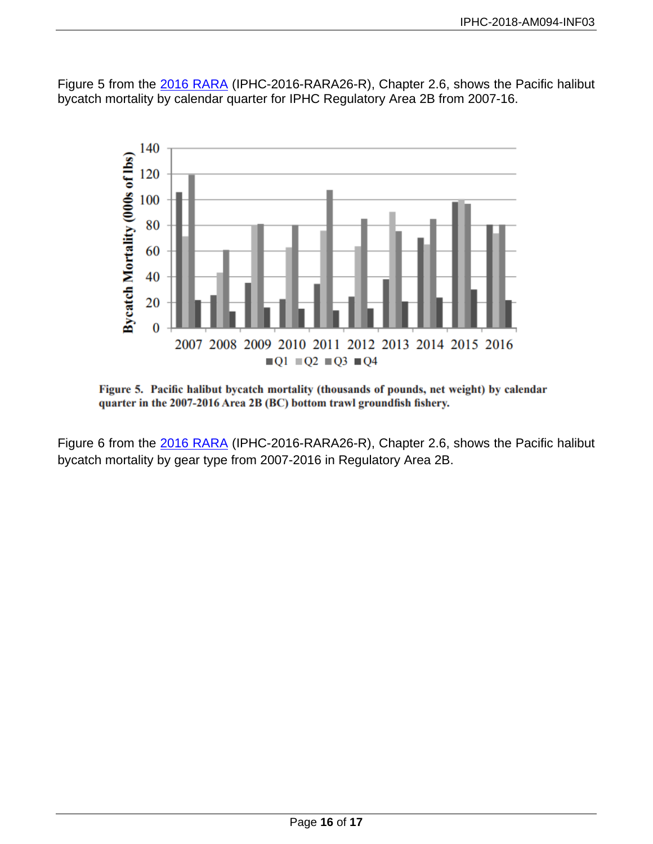Figure 5 from the [2016 RARA](http://iphc.int/library/documents/category/report-of-research-assessment-and-research-activities-rara) (IPHC-2016-RARA26-R), Chapter 2.6, shows the Pacific halibut bycatch mortality by calendar quarter for IPHC Regulatory Area 2B from 2007-16.



Figure 5. Pacific halibut bycatch mortality (thousands of pounds, net weight) by calendar quarter in the 2007-2016 Area 2B (BC) bottom trawl groundfish fishery.

Figure 6 from the [2016 RARA](http://iphc.int/library/documents/category/report-of-research-assessment-and-research-activities-rara) (IPHC-2016-RARA26-R), Chapter 2.6, shows the Pacific halibut bycatch mortality by gear type from 2007-2016 in Regulatory Area 2B.